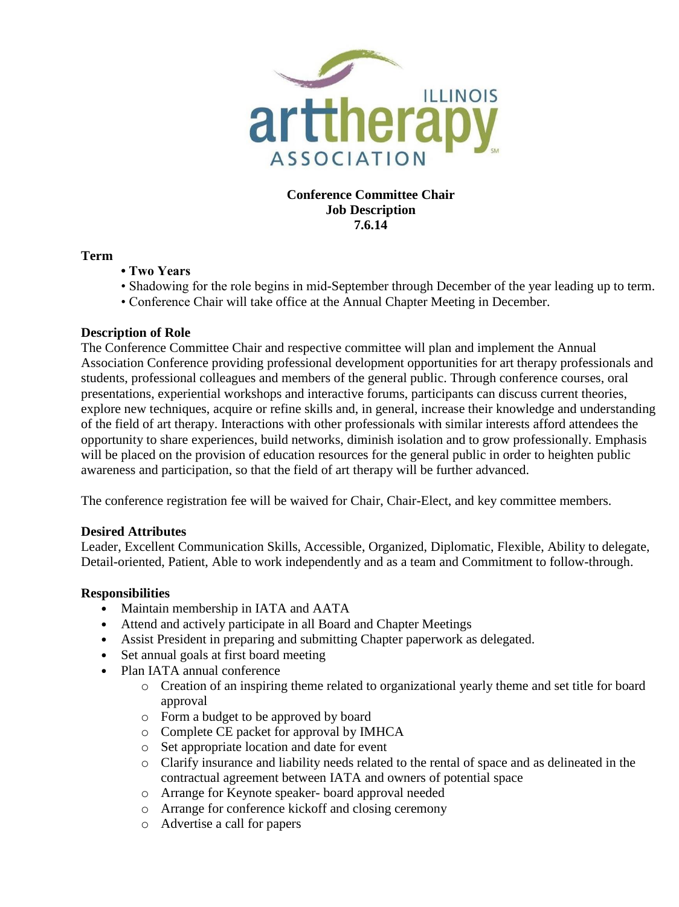

**Conference Committee Chair Job Description 7.6.14**

## **Term**

- **Two Years**
- Shadowing for the role begins in mid-September through December of the year leading up to term.
- Conference Chair will take office at the Annual Chapter Meeting in December.

## **Description of Role**

The Conference Committee Chair and respective committee will plan and implement the Annual Association Conference providing professional development opportunities for art therapy professionals and students, professional colleagues and members of the general public. Through conference courses, oral presentations, experiential workshops and interactive forums, participants can discuss current theories, explore new techniques, acquire or refine skills and, in general, increase their knowledge and understanding of the field of art therapy. Interactions with other professionals with similar interests afford attendees the opportunity to share experiences, build networks, diminish isolation and to grow professionally. Emphasis will be placed on the provision of education resources for the general public in order to heighten public awareness and participation, so that the field of art therapy will be further advanced.

The conference registration fee will be waived for Chair, Chair-Elect, and key committee members.

## **Desired Attributes**

Leader, Excellent Communication Skills, Accessible, Organized, Diplomatic, Flexible, Ability to delegate, Detail-oriented, Patient, Able to work independently and as a team and Commitment to follow-through.

## **Responsibilities**

- Maintain membership in IATA and AATA
- Attend and actively participate in all Board and Chapter Meetings
- Assist President in preparing and submitting Chapter paperwork as delegated.
- Set annual goals at first board meeting
- Plan IATA annual conference
	- o Creation of an inspiring theme related to organizational yearly theme and set title for board approval
	- o Form a budget to be approved by board
	- o Complete CE packet for approval by IMHCA
	- o Set appropriate location and date for event
	- o Clarify insurance and liability needs related to the rental of space and as delineated in the contractual agreement between IATA and owners of potential space
	- o Arrange for Keynote speaker- board approval needed
	- o Arrange for conference kickoff and closing ceremony
	- o Advertise a call for papers